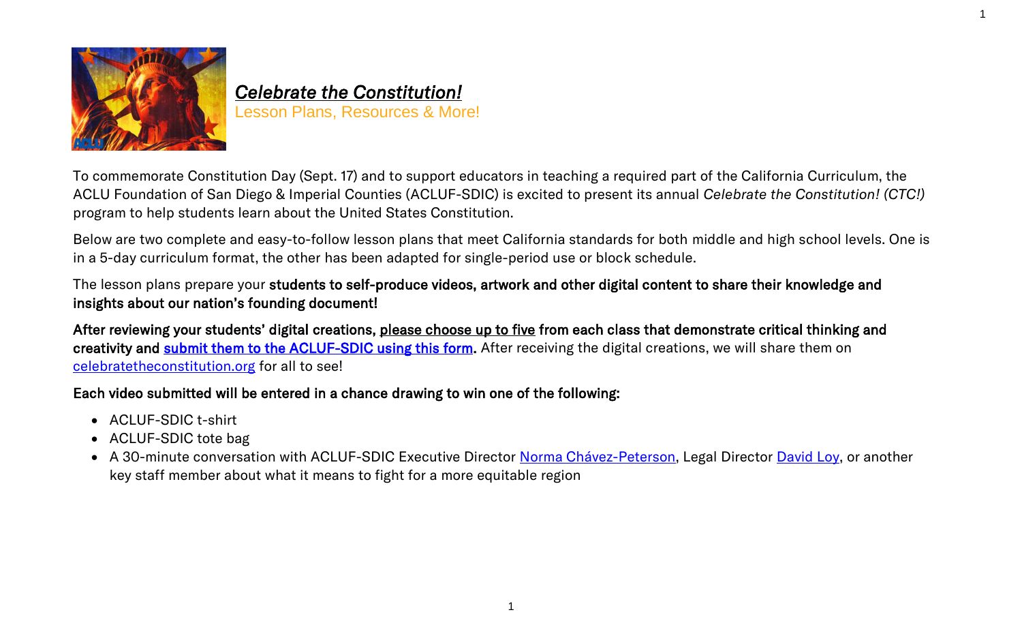

# *Celebrate the Constitution!*  Lesson Plans, Resources & More!

To commemorate Constitution Day (Sept. 17) and to support educators in teaching a required part of the California Curriculum, the ACLU Foundation of San Diego & Imperial Counties (ACLUF-SDIC) is excited to present its annual *Celebrate the Constitution! (CTC!)* program to help students learn about the United States Constitution.

1

Below are two complete and easy-to-follow lesson plans that meet California standards for both middle and high school levels. One is in a 5-day curriculum format, the other has been adapted for single-period use or block schedule.

The lesson plans prepare your students to self-produce videos, artwork and other digital content to share their knowledge and insights about our nation's founding document!

After reviewing your students' digital creations, please choose up to five from each class that demonstrate critical thinking and creativity and [submit them to the ACLUF-SDIC using this form.](https://form.jotform.com/212344825724152) After receiving the digital creations, we will share them on [celebratetheconstitution.org](file:///C:/Users/ARoss/AppData/Local/Microsoft/Windows/INetCache/Content.Outlook/FXRAGM3T/celebratetheconstitution.org) for all to see!

## Each video submitted will be entered in a chance drawing to win one of the following:

- ACLUF-SDIC t-shirt
- ACLUF-SDIC tote bag
- A 30-minute conversation with ACLUF-SDIC Executive Director [Norma Chávez-Peterson,](https://www.aclusandiego.org/en/biographies/norma-chavez-peterson) Legal Director [David Loy,](https://www.aclusandiego.org/en/biographies/david-loy) or another key staff member about what it means to fight for a more equitable region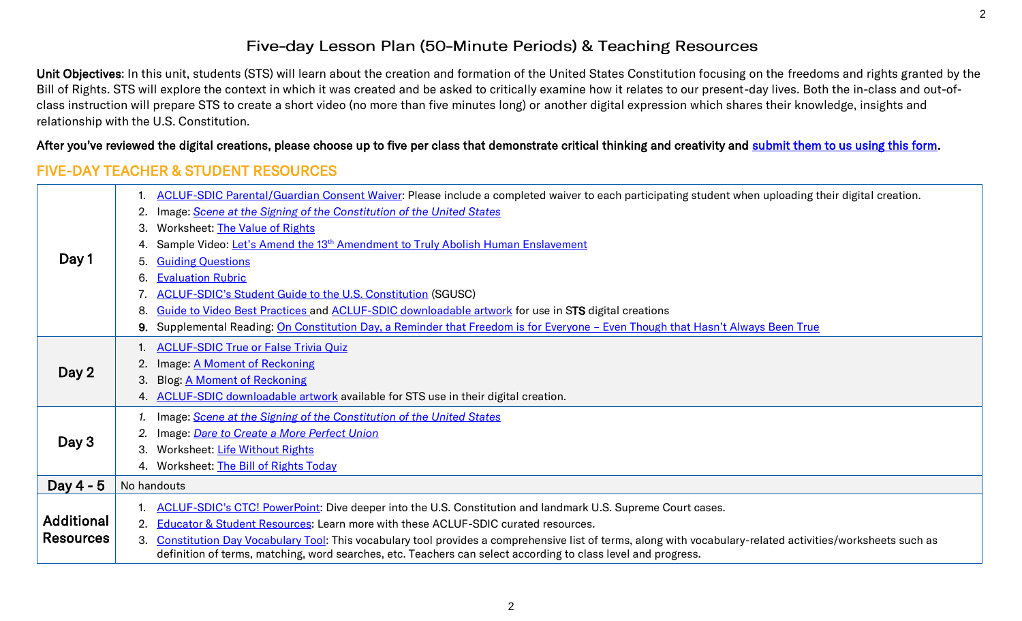#### Five-day Lesson Plan (50-Minute Periods) & Teaching Resources

Unit Objectives: In this unit, students (STS) will learn about the creation and formation of the United States Constitution focusing on the freedoms and rights granted by the Bill of Rights. STS will explore the context in which it was created and be asked to critically examine how it relates to our present-day lives. Both the in-class and out-ofclass instruction will prepare STS to create a short video (no more than five minutes long) or another digital expression which shares their knowledge, insights and relationship with the U.S. Constitution.

#### After you've reviewed the digital creations, please choose up to five per class that demonstrate critical thinking and creativity and [submit them to us using this form.](https://form.jotform.com/212344825724152)

### FIVE-DAY TEACHER & STUDENT RESOURCES

|                   | ACLUF-SDIC Parental/Guardian Consent Waiver: Please include a completed waiver to each participating student when uploading their digital creation.                                                                                                                               |  |
|-------------------|-----------------------------------------------------------------------------------------------------------------------------------------------------------------------------------------------------------------------------------------------------------------------------------|--|
|                   | Image: Scene at the Signing of the Constitution of the United States<br>2.                                                                                                                                                                                                        |  |
|                   | Worksheet: The Value of Rights<br>3.                                                                                                                                                                                                                                              |  |
|                   | Sample Video: Let's Amend the 13 <sup>th</sup> Amendment to Truly Abolish Human Enslavement                                                                                                                                                                                       |  |
| Day 1             | <b>Guiding Questions</b><br>5.                                                                                                                                                                                                                                                    |  |
|                   | <b>Evaluation Rubric</b><br>6.                                                                                                                                                                                                                                                    |  |
|                   | <b>ACLUF-SDIC's Student Guide to the U.S. Constitution (SGUSC)</b>                                                                                                                                                                                                                |  |
|                   | Guide to Video Best Practices and ACLUF-SDIC downloadable artwork for use in STS digital creations<br>8.                                                                                                                                                                          |  |
|                   | Supplemental Reading: On Constitution Day, a Reminder that Freedom is for Everyone - Even Though that Hasn't Always Been True<br>9.                                                                                                                                               |  |
|                   | <b>ACLUF-SDIC True or False Trivia Quiz</b>                                                                                                                                                                                                                                       |  |
|                   | 2. Image: A Moment of Reckoning                                                                                                                                                                                                                                                   |  |
| Day 2             | <b>Blog: A Moment of Reckoning</b><br>3.                                                                                                                                                                                                                                          |  |
|                   | ACLUF-SDIC downloadable artwork available for STS use in their digital creation.<br>4.                                                                                                                                                                                            |  |
|                   | Image: Scene at the Signing of the Constitution of the United States                                                                                                                                                                                                              |  |
|                   | Image: Dare to Create a More Perfect Union                                                                                                                                                                                                                                        |  |
| Day 3             | Worksheet: Life Without Rights<br>3.                                                                                                                                                                                                                                              |  |
|                   | 4. Worksheet: The Bill of Rights Today                                                                                                                                                                                                                                            |  |
| Day $4 - 5$       | No handouts                                                                                                                                                                                                                                                                       |  |
|                   | ACLUF-SDIC's CTC! PowerPoint: Dive deeper into the U.S. Constitution and landmark U.S. Supreme Court cases.                                                                                                                                                                       |  |
| <b>Additional</b> | Educator & Student Resources: Learn more with these ACLUF-SDIC curated resources.                                                                                                                                                                                                 |  |
| <b>Resources</b>  | Constitution Day Vocabulary Tool: This vocabulary tool provides a comprehensive list of terms, along with vocabulary-related activities/worksheets such as<br>3.<br>definition of terms, matching, word searches, etc. Teachers can select according to class level and progress. |  |
|                   |                                                                                                                                                                                                                                                                                   |  |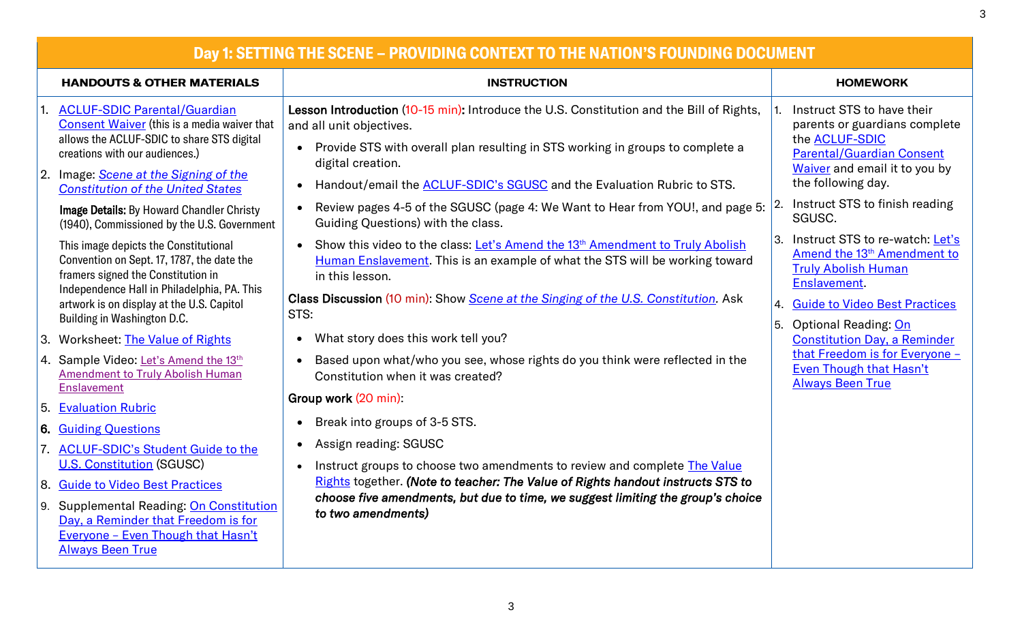| Day 1: SETTING THE SCENE - PROVIDING CONTEXT TO THE NATION'S FOUNDING DOCUMENT                                                                                                                                                                                                                                                                                                                                                                                                                                                                                                                                                                                                                                                                                                                                                                                                                                                              |                                                                                                                                                                                                                                                                                                                                                                                                                                                                                                                                                                                                                                                                                                                                                                                                                                                                                                                                                                                                                                                                                                                                                                                                                                                         |                                                                                                                                                                                                                                                                                                                                                                                                                                                                                                                                                                                        |  |
|---------------------------------------------------------------------------------------------------------------------------------------------------------------------------------------------------------------------------------------------------------------------------------------------------------------------------------------------------------------------------------------------------------------------------------------------------------------------------------------------------------------------------------------------------------------------------------------------------------------------------------------------------------------------------------------------------------------------------------------------------------------------------------------------------------------------------------------------------------------------------------------------------------------------------------------------|---------------------------------------------------------------------------------------------------------------------------------------------------------------------------------------------------------------------------------------------------------------------------------------------------------------------------------------------------------------------------------------------------------------------------------------------------------------------------------------------------------------------------------------------------------------------------------------------------------------------------------------------------------------------------------------------------------------------------------------------------------------------------------------------------------------------------------------------------------------------------------------------------------------------------------------------------------------------------------------------------------------------------------------------------------------------------------------------------------------------------------------------------------------------------------------------------------------------------------------------------------|----------------------------------------------------------------------------------------------------------------------------------------------------------------------------------------------------------------------------------------------------------------------------------------------------------------------------------------------------------------------------------------------------------------------------------------------------------------------------------------------------------------------------------------------------------------------------------------|--|
| <b>HANDOUTS &amp; OTHER MATERIALS</b>                                                                                                                                                                                                                                                                                                                                                                                                                                                                                                                                                                                                                                                                                                                                                                                                                                                                                                       | <b>INSTRUCTION</b>                                                                                                                                                                                                                                                                                                                                                                                                                                                                                                                                                                                                                                                                                                                                                                                                                                                                                                                                                                                                                                                                                                                                                                                                                                      | <b>HOMEWORK</b>                                                                                                                                                                                                                                                                                                                                                                                                                                                                                                                                                                        |  |
| 1. ACLUF-SDIC Parental/Guardian<br>Consent Waiver (this is a media waiver that<br>allows the ACLUF-SDIC to share STS digital<br>creations with our audiences.)<br>2. Image: <i>Scene at the Signing of the</i><br><b>Constitution of the United States</b><br><b>Image Details: By Howard Chandler Christy</b><br>(1940), Commissioned by the U.S. Government<br>This image depicts the Constitutional<br>Convention on Sept. 17, 1787, the date the<br>framers signed the Constitution in<br>Independence Hall in Philadelphia, PA. This<br>artwork is on display at the U.S. Capitol<br>Building in Washington D.C.<br>3. Worksheet: The Value of Rights<br>4. Sample Video: Let's Amend the 13th<br><b>Amendment to Truly Abolish Human</b><br><b>Enslavement</b><br>5. Evaluation Rubric<br><b>6. Guiding Questions</b><br>7. ACLUF-SDIC's Student Guide to the<br><b>U.S. Constitution (SGUSC)</b><br>8. Guide to Video Best Practices | Lesson Introduction (10-15 min): Introduce the U.S. Constitution and the Bill of Rights,<br>and all unit objectives.<br>Provide STS with overall plan resulting in STS working in groups to complete a<br>$\bullet$<br>digital creation.<br>Handout/email the <b>ACLUF-SDIC's SGUSC</b> and the Evaluation Rubric to STS.<br>$\bullet$<br>Review pages 4-5 of the SGUSC (page 4: We Want to Hear from YOU!, and page 5:<br>$\bullet$<br>Guiding Questions) with the class.<br>Show this video to the class: Let's Amend the 13 <sup>th</sup> Amendment to Truly Abolish<br>$\bullet$<br>Human Enslavement. This is an example of what the STS will be working toward<br>in this lesson.<br>Class Discussion (10 min): Show Scene at the Singing of the U.S. Constitution. Ask<br>STS:<br>What story does this work tell you?<br>$\bullet$<br>Based upon what/who you see, whose rights do you think were reflected in the<br>$\bullet$<br>Constitution when it was created?<br>Group work (20 min):<br>Break into groups of 3-5 STS.<br>$\bullet$<br>Assign reading: SGUSC<br>$\bullet$<br>Instruct groups to choose two amendments to review and complete The Value<br>Rights together. (Note to teacher: The Value of Rights handout instructs STS to | Instruct STS to have their<br>parents or guardians complete<br>the <b>ACLUF-SDIC</b><br><b>Parental/Guardian Consent</b><br>Waiver and email it to you by<br>the following day.<br>Instruct STS to finish reading<br>SGUSC.<br>Instruct STS to re-watch: Let's<br>Amend the 13 <sup>th</sup> Amendment to<br><b>Truly Abolish Human</b><br><b>Enslavement</b><br><b>Guide to Video Best Practices</b><br>4.<br>5.<br><b>Optional Reading: On</b><br><b>Constitution Day, a Reminder</b><br>that Freedom is for Everyone -<br><b>Even Though that Hasn't</b><br><b>Always Been True</b> |  |
| 9. Supplemental Reading: On Constitution<br>Day, a Reminder that Freedom is for<br>Everyone - Even Though that Hasn't<br><b>Always Been True</b>                                                                                                                                                                                                                                                                                                                                                                                                                                                                                                                                                                                                                                                                                                                                                                                            | choose five amendments, but due to time, we suggest limiting the group's choice<br>to two amendments)                                                                                                                                                                                                                                                                                                                                                                                                                                                                                                                                                                                                                                                                                                                                                                                                                                                                                                                                                                                                                                                                                                                                                   |                                                                                                                                                                                                                                                                                                                                                                                                                                                                                                                                                                                        |  |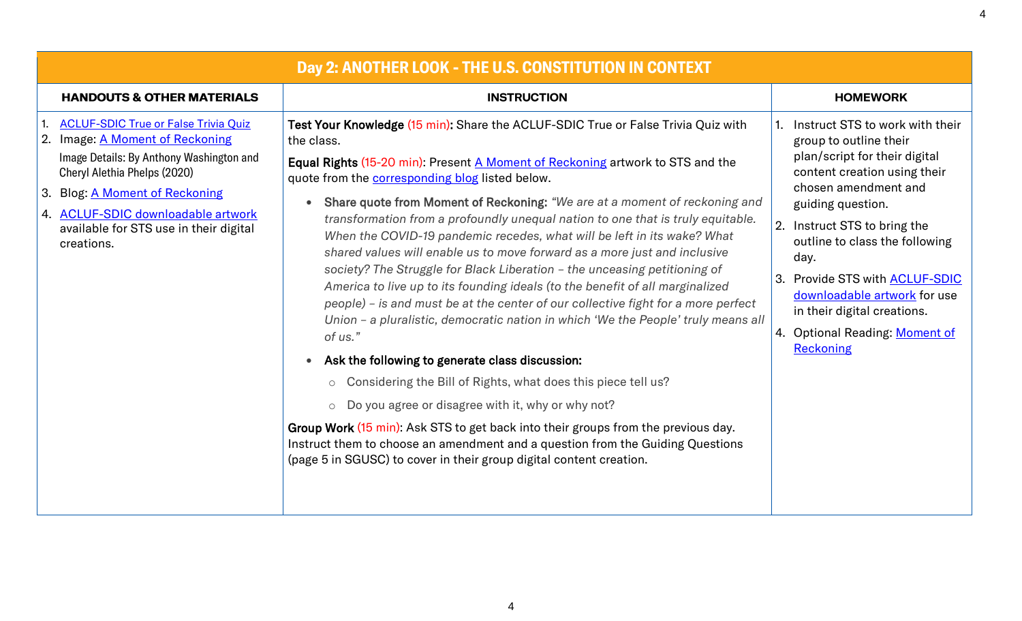| Day 2: ANOTHER LOOK - THE U.S. CONSTITUTION IN CONTEXT                                                                                                                                                                                                                                            |                                                                                                                                                                                                                                                                                                                                                                                                                                                                                                                                                                                                                                                                                                                                                                                                                                                                                                                                                                                                                                                                                                                                                                                                                                                                                                                                                                       |                                                                                                                                                                                                                                                                                                                                                                                                             |  |
|---------------------------------------------------------------------------------------------------------------------------------------------------------------------------------------------------------------------------------------------------------------------------------------------------|-----------------------------------------------------------------------------------------------------------------------------------------------------------------------------------------------------------------------------------------------------------------------------------------------------------------------------------------------------------------------------------------------------------------------------------------------------------------------------------------------------------------------------------------------------------------------------------------------------------------------------------------------------------------------------------------------------------------------------------------------------------------------------------------------------------------------------------------------------------------------------------------------------------------------------------------------------------------------------------------------------------------------------------------------------------------------------------------------------------------------------------------------------------------------------------------------------------------------------------------------------------------------------------------------------------------------------------------------------------------------|-------------------------------------------------------------------------------------------------------------------------------------------------------------------------------------------------------------------------------------------------------------------------------------------------------------------------------------------------------------------------------------------------------------|--|
| <b>HANDOUTS &amp; OTHER MATERIALS</b>                                                                                                                                                                                                                                                             | <b>INSTRUCTION</b>                                                                                                                                                                                                                                                                                                                                                                                                                                                                                                                                                                                                                                                                                                                                                                                                                                                                                                                                                                                                                                                                                                                                                                                                                                                                                                                                                    | <b>HOMEWORK</b>                                                                                                                                                                                                                                                                                                                                                                                             |  |
| <b>ACLUF-SDIC True or False Trivia Quiz</b><br>Image: A Moment of Reckoning<br>Image Details: By Anthony Washington and<br>Cheryl Alethia Phelps (2020)<br><b>Blog: A Moment of Reckoning</b><br>3.<br>4. ACLUF-SDIC downloadable artwork<br>available for STS use in their digital<br>creations. | Test Your Knowledge (15 min): Share the ACLUF-SDIC True or False Trivia Quiz with<br>the class.<br>Equal Rights (15-20 min): Present A Moment of Reckoning artwork to STS and the<br>quote from the <b>corresponding blog</b> listed below.<br>Share quote from Moment of Reckoning: "We are at a moment of reckoning and<br>transformation from a profoundly unequal nation to one that is truly equitable.<br>When the COVID-19 pandemic recedes, what will be left in its wake? What<br>shared values will enable us to move forward as a more just and inclusive<br>society? The Struggle for Black Liberation - the unceasing petitioning of<br>America to live up to its founding ideals (to the benefit of all marginalized<br>people) - is and must be at the center of our collective fight for a more perfect<br>Union - a pluralistic, democratic nation in which 'We the People' truly means all<br>of us."<br>Ask the following to generate class discussion:<br>$\bullet$<br>o Considering the Bill of Rights, what does this piece tell us?<br>$\circ$ Do you agree or disagree with it, why or why not?<br>Group Work (15 min): Ask STS to get back into their groups from the previous day.<br>Instruct them to choose an amendment and a question from the Guiding Questions<br>(page 5 in SGUSC) to cover in their group digital content creation. | Instruct STS to work with their<br>group to outline their<br>plan/script for their digital<br>content creation using their<br>chosen amendment and<br>guiding question.<br>2. Instruct STS to bring the<br>outline to class the following<br>day.<br><b>Provide STS with ACLUF-SDIC</b><br>3.<br>downloadable artwork for use<br>in their digital creations.<br>4. Optional Reading: Moment of<br>Reckoning |  |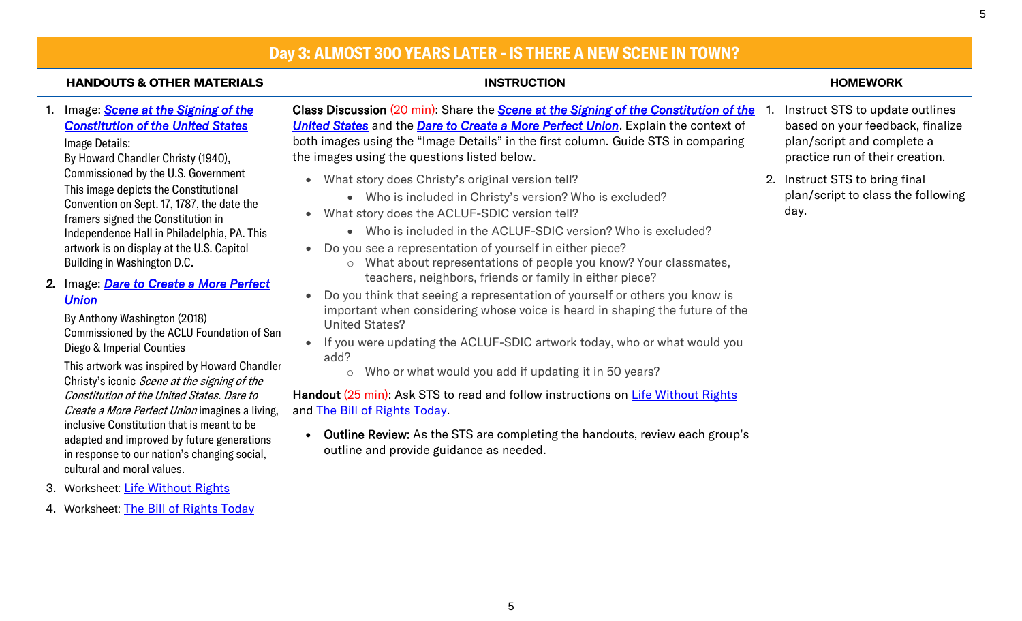| Day 3: ALMOST 300 YEARS LATER - IS THERE A NEW SCENE IN TOWN?                                                                                                                                                                                                                                                                                                                                                                                                                                                                                                                                                               |                                                                                                                                                                                                                                                                                                                                                                                                                                                                                                                                                                                                                                              |                                                                                                                                      |  |
|-----------------------------------------------------------------------------------------------------------------------------------------------------------------------------------------------------------------------------------------------------------------------------------------------------------------------------------------------------------------------------------------------------------------------------------------------------------------------------------------------------------------------------------------------------------------------------------------------------------------------------|----------------------------------------------------------------------------------------------------------------------------------------------------------------------------------------------------------------------------------------------------------------------------------------------------------------------------------------------------------------------------------------------------------------------------------------------------------------------------------------------------------------------------------------------------------------------------------------------------------------------------------------------|--------------------------------------------------------------------------------------------------------------------------------------|--|
| <b>HANDOUTS &amp; OTHER MATERIALS</b>                                                                                                                                                                                                                                                                                                                                                                                                                                                                                                                                                                                       | <b>INSTRUCTION</b>                                                                                                                                                                                                                                                                                                                                                                                                                                                                                                                                                                                                                           | <b>HOMEWORK</b>                                                                                                                      |  |
| 1. Image: Scene at the Signing of the<br><b>Constitution of the United States</b><br>Image Details:<br>By Howard Chandler Christy (1940),                                                                                                                                                                                                                                                                                                                                                                                                                                                                                   | Class Discussion (20 min): Share the Scene at the Signing of the Constitution of the<br>United States and the Dare to Create a More Perfect Union. Explain the context of<br>both images using the "Image Details" in the first column. Guide STS in comparing<br>the images using the questions listed below.                                                                                                                                                                                                                                                                                                                               | Instruct STS to update outlines<br>based on your feedback, finalize<br>plan/script and complete a<br>practice run of their creation. |  |
| Commissioned by the U.S. Government<br>This image depicts the Constitutional<br>Convention on Sept. 17, 1787, the date the<br>framers signed the Constitution in<br>Independence Hall in Philadelphia, PA. This<br>artwork is on display at the U.S. Capitol<br>Building in Washington D.C.                                                                                                                                                                                                                                                                                                                                 | What story does Christy's original version tell?<br>$\bullet$<br>• Who is included in Christy's version? Who is excluded?<br>What story does the ACLUF-SDIC version tell?<br>• Who is included in the ACLUF-SDIC version? Who is excluded?<br>Do you see a representation of yourself in either piece?<br>o What about representations of people you know? Your classmates,                                                                                                                                                                                                                                                                  | 2. Instruct STS to bring final<br>plan/script to class the following<br>day.                                                         |  |
| 2. Image: Dare to Create a More Perfect<br><b>Union</b><br>By Anthony Washington (2018)<br>Commissioned by the ACLU Foundation of San<br>Diego & Imperial Counties<br>This artwork was inspired by Howard Chandler<br>Christy's iconic Scene at the signing of the<br>Constitution of the United States, Dare to<br>Create a More Perfect Union imagines a living,<br>inclusive Constitution that is meant to be<br>adapted and improved by future generations<br>in response to our nation's changing social,<br>cultural and moral values.<br>3. Worksheet: Life Without Rights<br>4. Worksheet: The Bill of Rights Today | teachers, neighbors, friends or family in either piece?<br>Do you think that seeing a representation of yourself or others you know is<br>important when considering whose voice is heard in shaping the future of the<br><b>United States?</b><br>If you were updating the ACLUF-SDIC artwork today, who or what would you<br>add?<br>o Who or what would you add if updating it in 50 years?<br>Handout (25 min): Ask STS to read and follow instructions on Life Without Rights<br>and The Bill of Rights Today<br>Outline Review: As the STS are completing the handouts, review each group's<br>outline and provide guidance as needed. |                                                                                                                                      |  |

5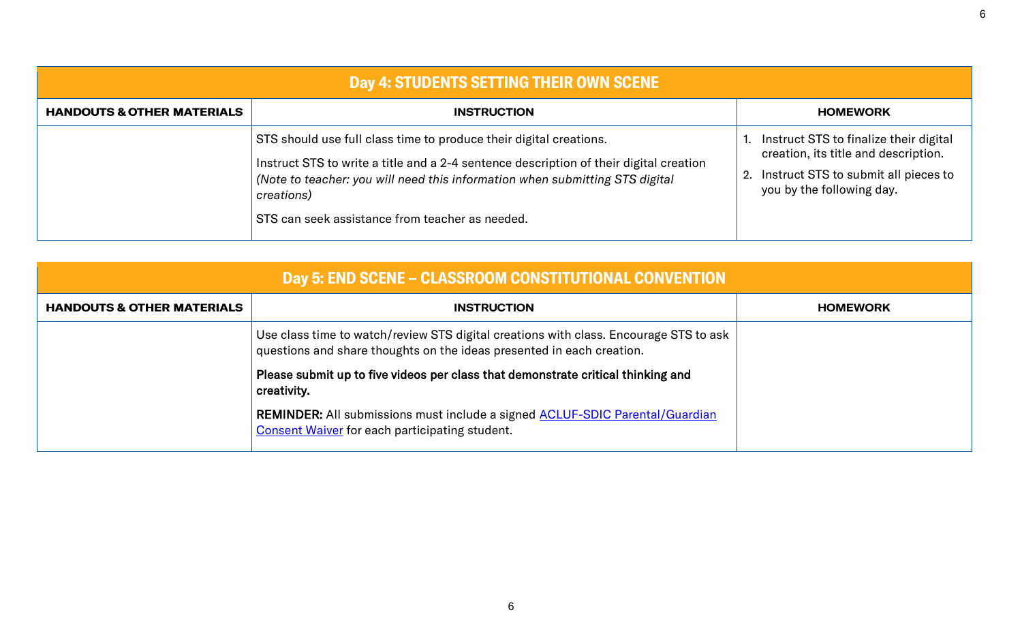| Day 4: STUDENTS SETTING THEIR OWN SCENE |                                                                                                                                                                                                                                                                                                               |  |                                                                                                                                                        |
|-----------------------------------------|---------------------------------------------------------------------------------------------------------------------------------------------------------------------------------------------------------------------------------------------------------------------------------------------------------------|--|--------------------------------------------------------------------------------------------------------------------------------------------------------|
| <b>HANDOUTS &amp; OTHER MATERIALS</b>   | <b>INSTRUCTION</b>                                                                                                                                                                                                                                                                                            |  | <b>HOMEWORK</b>                                                                                                                                        |
|                                         | STS should use full class time to produce their digital creations.<br>Instruct STS to write a title and a 2-4 sentence description of their digital creation<br>(Note to teacher: you will need this information when submitting STS digital<br>creations)<br>STS can seek assistance from teacher as needed. |  | Instruct STS to finalize their digital<br>creation, its title and description.<br>2. Instruct STS to submit all pieces to<br>you by the following day. |

| <b>Day 5: END SCENE – CLASSROOM CONSTITUTIONAL CONVENTION</b> |                                                                                                                                                                |                 |  |
|---------------------------------------------------------------|----------------------------------------------------------------------------------------------------------------------------------------------------------------|-----------------|--|
| <b>HANDOUTS &amp; OTHER MATERIALS</b>                         | <b>INSTRUCTION</b>                                                                                                                                             | <b>HOMEWORK</b> |  |
|                                                               | Use class time to watch/review STS digital creations with class. Encourage STS to ask<br>questions and share thoughts on the ideas presented in each creation. |                 |  |
|                                                               | Please submit up to five videos per class that demonstrate critical thinking and<br>creativity.                                                                |                 |  |
|                                                               | <b>REMINDER:</b> All submissions must include a signed <b>ACLUF-SDIC Parental/Guardian</b><br><b>Consent Waiver for each participating student.</b>            |                 |  |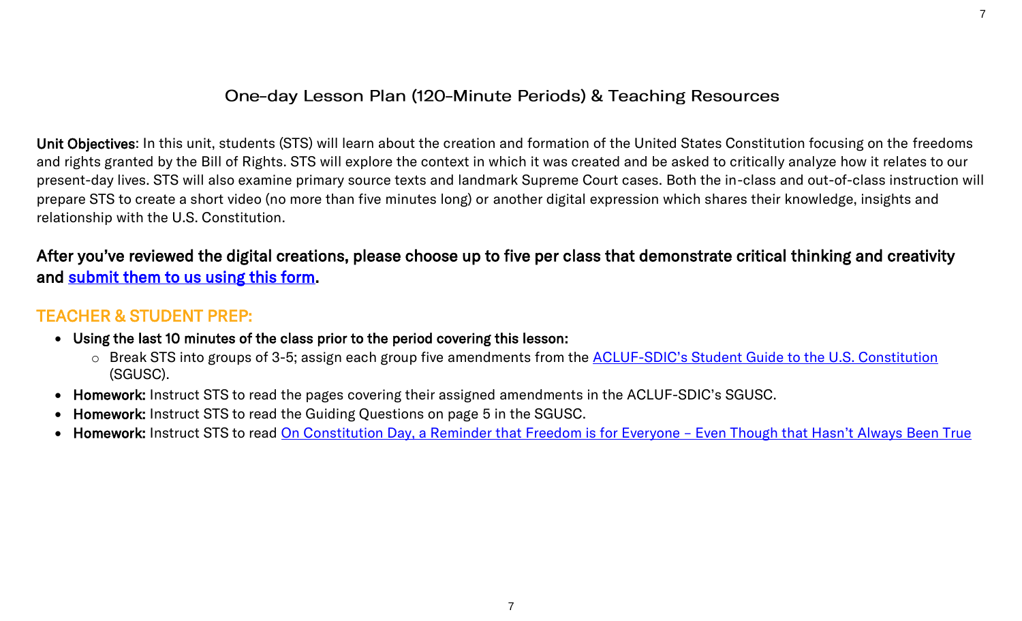### One-day Lesson Plan (120-Minute Periods) & Teaching Resources

7

Unit Objectives: In this unit, students (STS) will learn about the creation and formation of the United States Constitution focusing on the freedoms and rights granted by the Bill of Rights. STS will explore the context in which it was created and be asked to critically analyze how it relates to our present-day lives. STS will also examine primary source texts and landmark Supreme Court cases. Both the in-class and out-of-class instruction will prepare STS to create a short video (no more than five minutes long) or another digital expression which shares their knowledge, insights and relationship with the U.S. Constitution.

After you've reviewed the digital creations, please choose up to five per class that demonstrate critical thinking and creativity and [submit them to us using this form.](https://form.jotform.com/212344825724152)

## TEACHER & STUDENT PREP:

- Using the last 10 minutes of the class prior to the period covering this lesson:
	- o Break STS into groups of 3-5; assign each group five amendments from the **ACLUF-[SDIC's Student Guide to the U.S. Constitution](https://a78ab217-7a8e-40c7-b2ba-50a27c130e15.usrfiles.com/ugd/a78ab2_d4dd2d5d567b49438cafc57e36609acf.pdf)** (SGUSC).
- Homework: Instruct STS to read the pages covering their assigned amendments in the ACLUF-SDIC's SGUSC.
- Homework: Instruct STS to read the Guiding Questions on page 5 in the SGUSC.
- Homework: Instruct STS to read [On Constitution Day, a Reminder that Freedom is for Everyone](https://www.aclu-wa.org/story/constitution-day-reminder-freedom-everyone-%E2%80%93-even-though-hasn%E2%80%99t-always-been-true)  Even Though that Hasn't Always Been True

7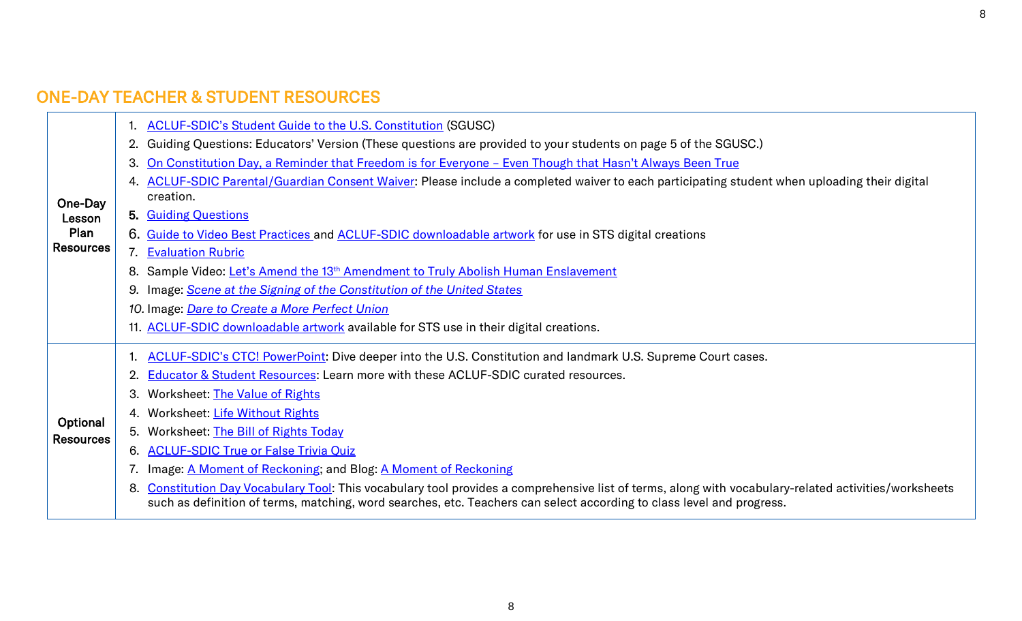# ONE-DAY TEACHER & STUDENT RESOURCES

|                                               | 1. ACLUF-SDIC's Student Guide to the U.S. Constitution (SGUSC)                                                                                                                                                                                                                    |
|-----------------------------------------------|-----------------------------------------------------------------------------------------------------------------------------------------------------------------------------------------------------------------------------------------------------------------------------------|
|                                               | 2. Guiding Questions: Educators' Version (These questions are provided to your students on page 5 of the SGUSC.)                                                                                                                                                                  |
|                                               | On Constitution Day, a Reminder that Freedom is for Everyone - Even Though that Hasn't Always Been True<br>3.                                                                                                                                                                     |
| One-Day<br>Lesson<br>Plan<br><b>Resources</b> | 4. ACLUF-SDIC Parental/Guardian Consent Waiver. Please include a completed waiver to each participating student when uploading their digital<br>creation.                                                                                                                         |
|                                               | 5. Guiding Questions                                                                                                                                                                                                                                                              |
|                                               | 6. Guide to Video Best Practices and ACLUF-SDIC downloadable artwork for use in STS digital creations                                                                                                                                                                             |
|                                               | 7. Evaluation Rubric                                                                                                                                                                                                                                                              |
|                                               | 8. Sample Video: Let's Amend the 13 <sup>th</sup> Amendment to Truly Abolish Human Enslavement                                                                                                                                                                                    |
|                                               | 9. Image: Scene at the Signing of the Constitution of the United States                                                                                                                                                                                                           |
|                                               | 10. Image: Dare to Create a More Perfect Union                                                                                                                                                                                                                                    |
|                                               | 11. ACLUF-SDIC downloadable artwork available for STS use in their digital creations.                                                                                                                                                                                             |
|                                               | 1. ACLUF-SDIC's CTC! PowerPoint: Dive deeper into the U.S. Constitution and landmark U.S. Supreme Court cases.                                                                                                                                                                    |
|                                               | <b>Educator &amp; Student Resources: Learn more with these ACLUF-SDIC curated resources.</b>                                                                                                                                                                                      |
|                                               | 3. Worksheet: The Value of Rights                                                                                                                                                                                                                                                 |
| Optional                                      | 4. Worksheet: Life Without Rights                                                                                                                                                                                                                                                 |
| <b>Resources</b>                              | 5. Worksheet: The Bill of Rights Today                                                                                                                                                                                                                                            |
|                                               | 6. ACLUF-SDIC True or False Trivia Quiz                                                                                                                                                                                                                                           |
|                                               | 7. Image: A Moment of Reckoning; and Blog: A Moment of Reckoning                                                                                                                                                                                                                  |
|                                               | Constitution Day Vocabulary Tool: This vocabulary tool provides a comprehensive list of terms, along with vocabulary-related activities/worksheets<br>8.<br>such as definition of terms, matching, word searches, etc. Teachers can select according to class level and progress. |